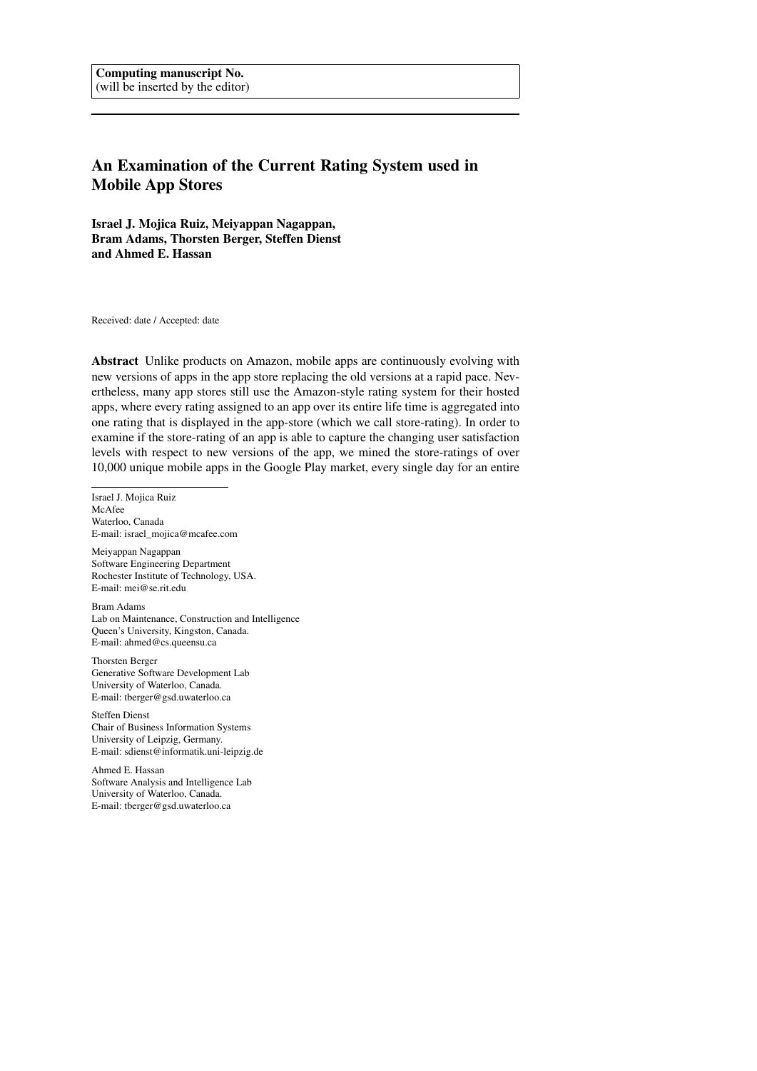# An Examination of the Current Rating System used in Mobile App Stores

Israel J. Mojica Ruiz, Meiyappan Nagappan, Bram Adams, Thorsten Berger, Steffen Dienst and Ahmed E. Hassan

Received: date / Accepted: date

Abstract Unlike products on Amazon, mobile apps are continuously evolving with new versions of apps in the app store replacing the old versions at a rapid pace. Nevertheless, many app stores still use the Amazon-style rating system for their hosted apps, where every rating assigned to an app over its entire life time is aggregated into one rating that is displayed in the app-store (which we call store-rating). In order to examine if the store-rating of an app is able to capture the changing user satisfaction levels with respect to new versions of the app, we mined the store-ratings of over 10,000 unique mobile apps in the Google Play market, every single day for an entire

Israel J. Mojica Ruiz McAfee Waterloo, Canada E-mail: israel\_mojica@mcafee.com

Meiyappan Nagappan Software Engineering Department Rochester Institute of Technology, USA. E-mail: mei@se.rit.edu

Bram Adams Lab on Maintenance, Construction and Intelligence Queen's University, Kingston, Canada. E-mail: ahmed@cs.queensu.ca

Thorsten Berger Generative Software Development Lab University of Waterloo, Canada. E-mail: tberger@gsd.uwaterloo.ca

Steffen Dienst Chair of Business Information Systems University of Leipzig, Germany. E-mail: sdienst@informatik.uni-leipzig.de

Ahmed E. Hassan Software Analysis and Intelligence Lab University of Waterloo, Canada. E-mail: tberger@gsd.uwaterloo.ca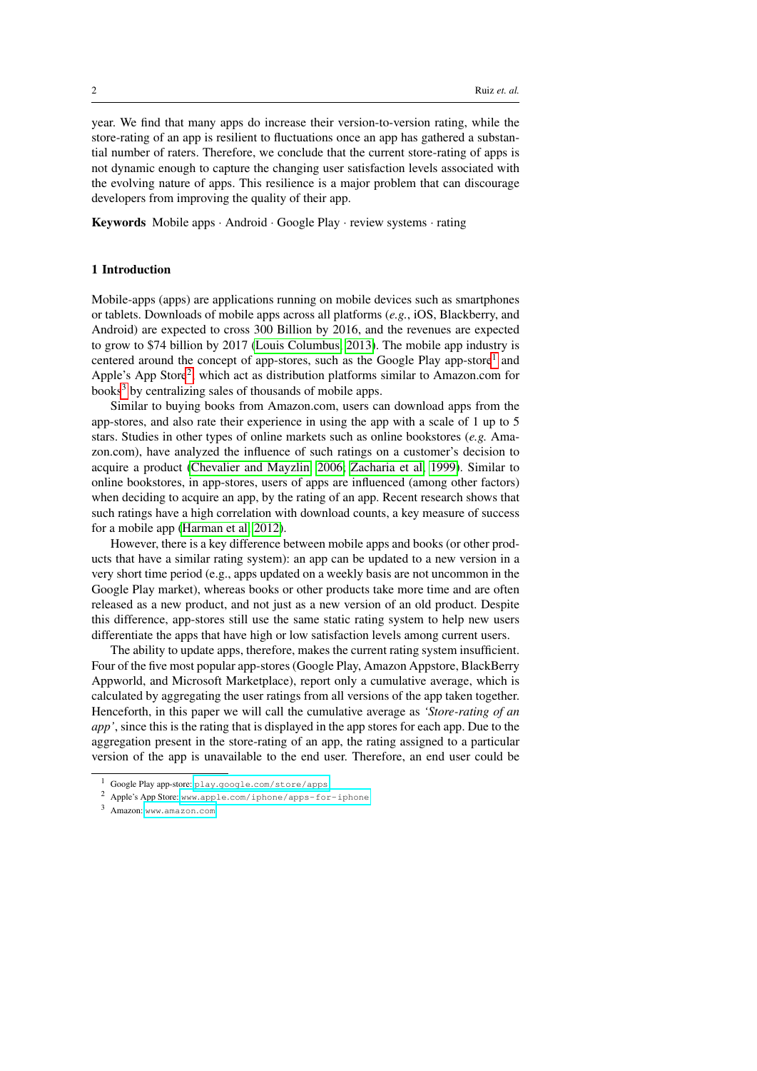year. We find that many apps do increase their version-to-version rating, while the store-rating of an app is resilient to fluctuations once an app has gathered a substantial number of raters. Therefore, we conclude that the current store-rating of apps is not dynamic enough to capture the changing user satisfaction levels associated with the evolving nature of apps. This resilience is a major problem that can discourage developers from improving the quality of their app.

Keywords Mobile apps · Android · Google Play · review systems · rating

#### <span id="page-1-3"></span>1 Introduction

Mobile-apps (apps) are applications running on mobile devices such as smartphones or tablets. Downloads of mobile apps across all platforms (*e.g.*, iOS, Blackberry, and Android) are expected to cross 300 Billion by 2016, and the revenues are expected to grow to \$74 billion by 2017 [\(Louis Columbus, 2013\)](#page-11-0). The mobile app industry is centered around the concept of app-stores, such as the Google Play app-store<sup>[1](#page-1-0)</sup> and Apple's App Store<sup>[2](#page-1-1)</sup>, which act as distribution platforms similar to Amazon.com for books<sup>[3](#page-1-2)</sup> by centralizing sales of thousands of mobile apps.

Similar to buying books from Amazon.com, users can download apps from the app-stores, and also rate their experience in using the app with a scale of 1 up to 5 stars. Studies in other types of online markets such as online bookstores (*e.g.* Amazon.com), have analyzed the influence of such ratings on a customer's decision to acquire a product [\(Chevalier and Mayzlin, 2006;](#page-10-0) [Zacharia et al, 1999\)](#page-11-1). Similar to online bookstores, in app-stores, users of apps are influenced (among other factors) when deciding to acquire an app, by the rating of an app. Recent research shows that such ratings have a high correlation with download counts, a key measure of success for a mobile app [\(Harman et al, 2012\)](#page-11-2).

However, there is a key difference between mobile apps and books (or other products that have a similar rating system): an app can be updated to a new version in a very short time period (e.g., apps updated on a weekly basis are not uncommon in the Google Play market), whereas books or other products take more time and are often released as a new product, and not just as a new version of an old product. Despite this difference, app-stores still use the same static rating system to help new users differentiate the apps that have high or low satisfaction levels among current users.

The ability to update apps, therefore, makes the current rating system insufficient. Four of the five most popular app-stores (Google Play, Amazon Appstore, BlackBerry Appworld, and Microsoft Marketplace), report only a cumulative average, which is calculated by aggregating the user ratings from all versions of the app taken together. Henceforth, in this paper we will call the cumulative average as *'Store-rating of an app'*, since this is the rating that is displayed in the app stores for each app. Due to the aggregation present in the store-rating of an app, the rating assigned to a particular version of the app is unavailable to the end user. Therefore, an end user could be

<span id="page-1-2"></span><sup>3</sup> Amazon: www.[amazon](www.amazon.com).com

<span id="page-1-0"></span><sup>1</sup> Google Play app-store: play.google.[com/store/apps](play.google.com/store/apps)

<span id="page-1-1"></span><sup>2</sup> Apple's App Store: www.apple.[com/iphone/apps-for-iphone](www.apple.com/iphone/apps-for-iphone)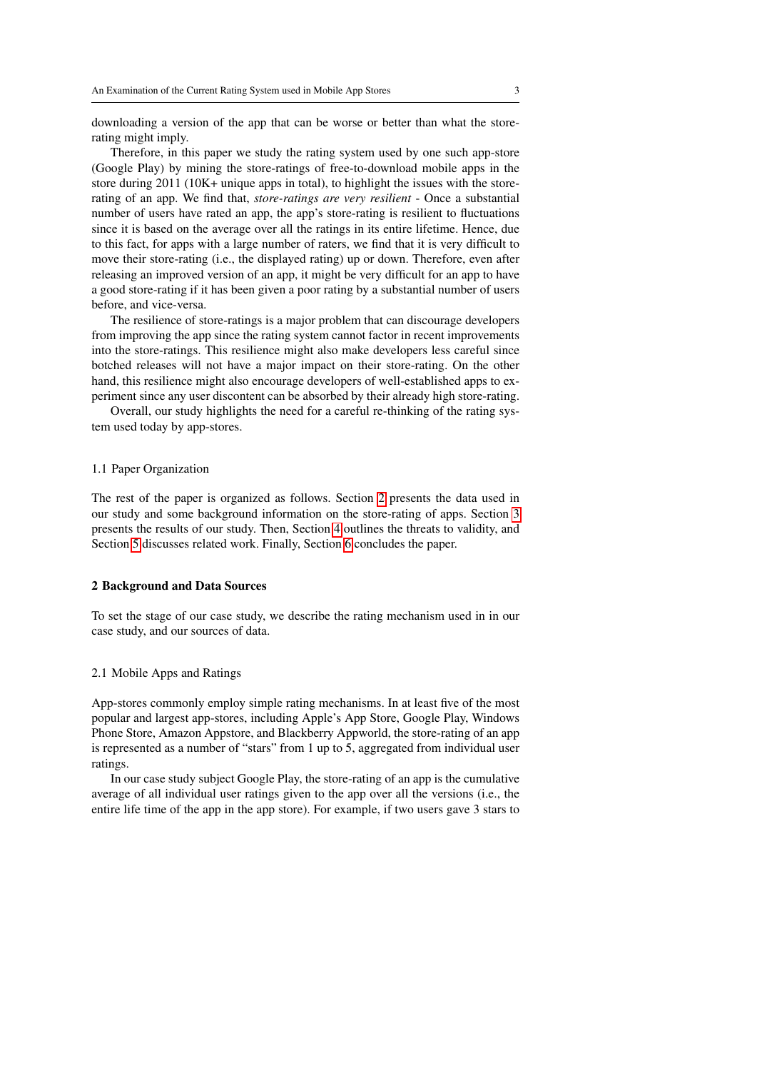downloading a version of the app that can be worse or better than what the storerating might imply.

Therefore, in this paper we study the rating system used by one such app-store (Google Play) by mining the store-ratings of free-to-download mobile apps in the store during 2011 (10K+ unique apps in total), to highlight the issues with the storerating of an app. We find that, *store-ratings are very resilient* - Once a substantial number of users have rated an app, the app's store-rating is resilient to fluctuations since it is based on the average over all the ratings in its entire lifetime. Hence, due to this fact, for apps with a large number of raters, we find that it is very difficult to move their store-rating (i.e., the displayed rating) up or down. Therefore, even after releasing an improved version of an app, it might be very difficult for an app to have a good store-rating if it has been given a poor rating by a substantial number of users before, and vice-versa.

The resilience of store-ratings is a major problem that can discourage developers from improving the app since the rating system cannot factor in recent improvements into the store-ratings. This resilience might also make developers less careful since botched releases will not have a major impact on their store-rating. On the other hand, this resilience might also encourage developers of well-established apps to experiment since any user discontent can be absorbed by their already high store-rating.

Overall, our study highlights the need for a careful re-thinking of the rating system used today by app-stores.

#### 1.1 Paper Organization

The rest of the paper is organized as follows. Section [2](#page-2-0) presents the data used in our study and some background information on the store-rating of apps. Section [3](#page-4-0) presents the results of our study. Then, Section [4](#page-8-0) outlines the threats to validity, and Section [5](#page-9-0) discusses related work. Finally, Section [6](#page-9-1) concludes the paper.

#### <span id="page-2-0"></span>2 Background and Data Sources

To set the stage of our case study, we describe the rating mechanism used in in our case study, and our sources of data.

#### 2.1 Mobile Apps and Ratings

App-stores commonly employ simple rating mechanisms. In at least five of the most popular and largest app-stores, including Apple's App Store, Google Play, Windows Phone Store, Amazon Appstore, and Blackberry Appworld, the store-rating of an app is represented as a number of "stars" from 1 up to 5, aggregated from individual user ratings.

In our case study subject Google Play, the store-rating of an app is the cumulative average of all individual user ratings given to the app over all the versions (i.e., the entire life time of the app in the app store). For example, if two users gave 3 stars to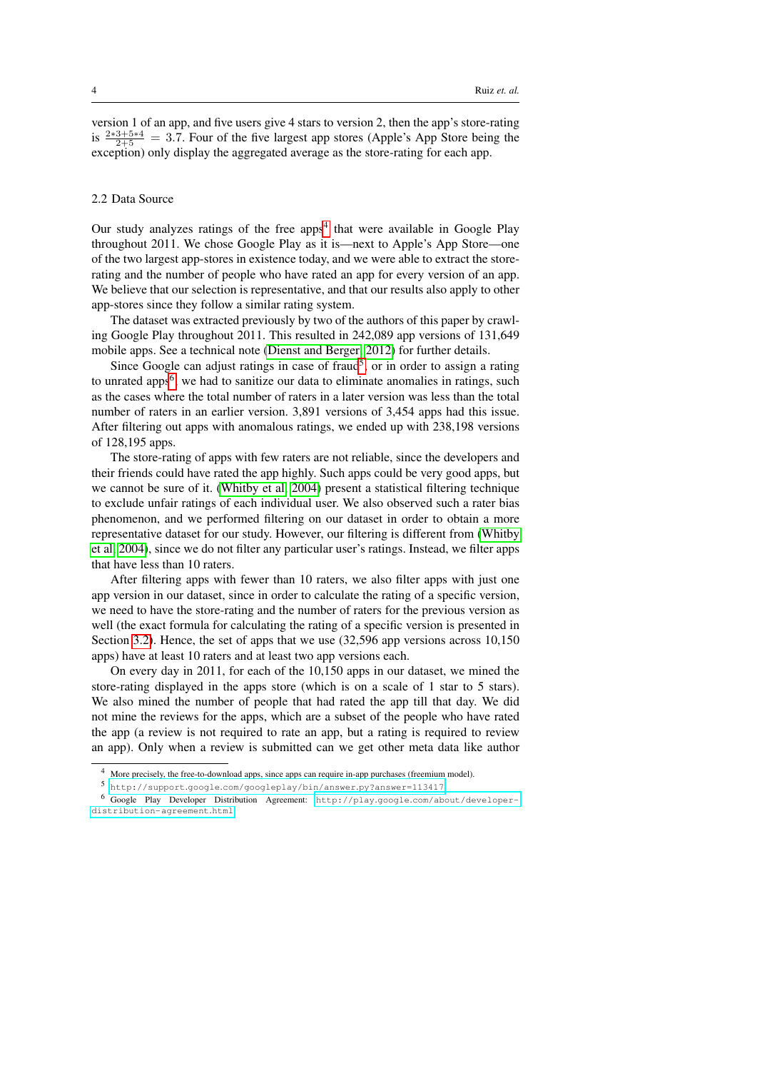version 1 of an app, and five users give 4 stars to version 2, then the app's store-rating is  $\frac{2*3+5*4}{2+5}$  = 3.7. Four of the five largest app stores (Apple's App Store being the exception) only display the aggregated average as the store-rating for each app.

#### 2.2 Data Source

Our study analyzes ratings of the free apps<sup>[4](#page-3-0)</sup> that were available in Google Play throughout 2011. We chose Google Play as it is—next to Apple's App Store—one of the two largest app-stores in existence today, and we were able to extract the storerating and the number of people who have rated an app for every version of an app. We believe that our selection is representative, and that our results also apply to other app-stores since they follow a similar rating system.

The dataset was extracted previously by two of the authors of this paper by crawling Google Play throughout 2011. This resulted in 242,089 app versions of 131,649 mobile apps. See a technical note [\(Dienst and Berger, 2012\)](#page-10-1) for further details.

Since Google can adjust ratings in case of fraud<sup>[5](#page-3-1)</sup>, or in order to assign a rating to unrated apps<sup>[6](#page-3-2)</sup>, we had to sanitize our data to eliminate anomalies in ratings, such as the cases where the total number of raters in a later version was less than the total number of raters in an earlier version. 3,891 versions of 3,454 apps had this issue. After filtering out apps with anomalous ratings, we ended up with 238,198 versions of 128,195 apps.

The store-rating of apps with few raters are not reliable, since the developers and their friends could have rated the app highly. Such apps could be very good apps, but we cannot be sure of it. [\(Whitby et al, 2004\)](#page-11-3) present a statistical filtering technique to exclude unfair ratings of each individual user. We also observed such a rater bias phenomenon, and we performed filtering on our dataset in order to obtain a more representative dataset for our study. However, our filtering is different from [\(Whitby](#page-11-3) [et al, 2004\)](#page-11-3), since we do not filter any particular user's ratings. Instead, we filter apps that have less than 10 raters.

After filtering apps with fewer than 10 raters, we also filter apps with just one app version in our dataset, since in order to calculate the rating of a specific version, we need to have the store-rating and the number of raters for the previous version as well (the exact formula for calculating the rating of a specific version is presented in Section [3.2\)](#page-4-1). Hence, the set of apps that we use (32,596 app versions across 10,150 apps) have at least 10 raters and at least two app versions each.

On every day in 2011, for each of the 10,150 apps in our dataset, we mined the store-rating displayed in the apps store (which is on a scale of 1 star to 5 stars). We also mined the number of people that had rated the app till that day. We did not mine the reviews for the apps, which are a subset of the people who have rated the app (a review is not required to rate an app, but a rating is required to review an app). Only when a review is submitted can we get other meta data like author

<span id="page-3-0"></span><sup>4</sup> More precisely, the free-to-download apps, since apps can require in-app purchases (freemium model).

<span id="page-3-2"></span><span id="page-3-1"></span><sup>5</sup> http://support.google.[com/googleplay/bin/answer](http://support.google.com/googleplay/bin/answer.py?answer=113417).py?answer=113417

<sup>6</sup> Google Play Developer Distribution Agreement: http://play.google.[com/about/developer](http://play.google.com/about/developer-distribution-agreement.html)[distribution-agreement](http://play.google.com/about/developer-distribution-agreement.html).html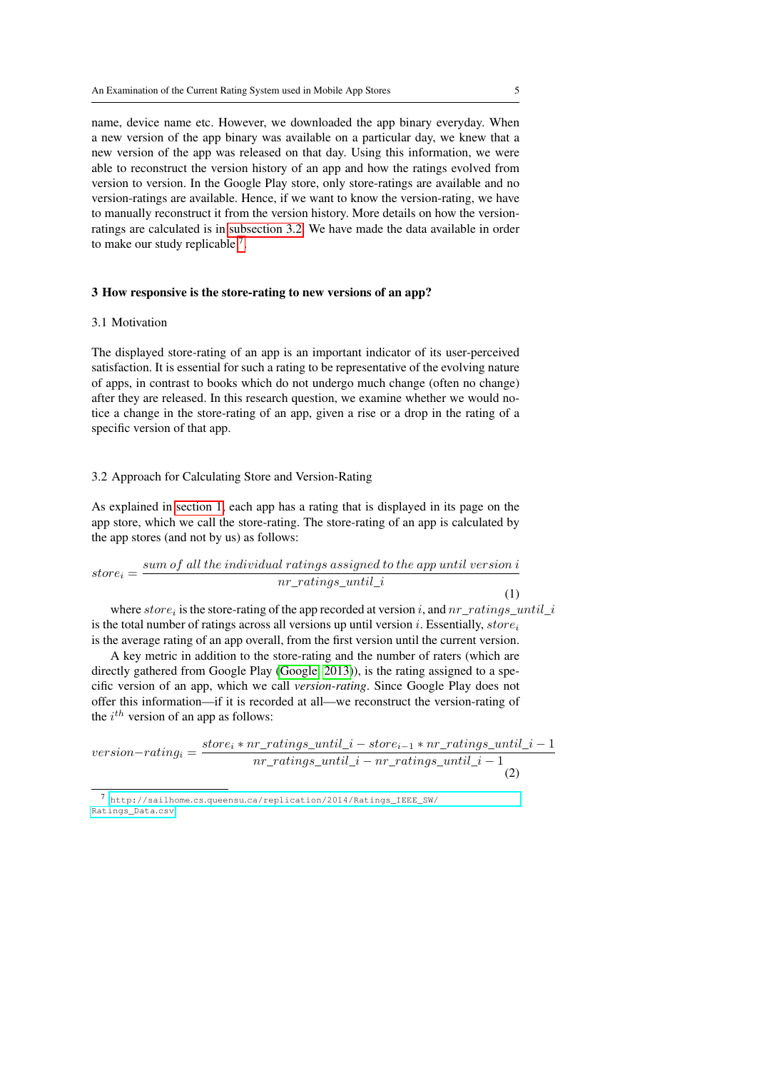name, device name etc. However, we downloaded the app binary everyday. When a new version of the app binary was available on a particular day, we knew that a new version of the app was released on that day. Using this information, we were able to reconstruct the version history of an app and how the ratings evolved from version to version. In the Google Play store, only store-ratings are available and no version-ratings are available. Hence, if we want to know the version-rating, we have to manually reconstruct it from the version history. More details on how the versionratings are calculated is in [subsection 3.2.](#page-4-1) We have made the data available in order to make our study replicable  $<sup>7</sup>$  $<sup>7</sup>$  $<sup>7</sup>$ .</sup>

#### <span id="page-4-0"></span>3 How responsive is the store-rating to new versions of an app?

#### 3.1 Motivation

The displayed store-rating of an app is an important indicator of its user-perceived satisfaction. It is essential for such a rating to be representative of the evolving nature of apps, in contrast to books which do not undergo much change (often no change) after they are released. In this research question, we examine whether we would notice a change in the store-rating of an app, given a rise or a drop in the rating of a specific version of that app.

#### <span id="page-4-1"></span>3.2 Approach for Calculating Store and Version-Rating

As explained in [section 1,](#page-1-3) each app has a rating that is displayed in its page on the app store, which we call the store-rating. The store-rating of an app is calculated by the app stores (and not by us) as follows:

$$
store_i = \frac{sum\ of\ all\ the\ individual\ ratings\ assigned\ to\ the\ app\ until\ version\ i}{nr\_ratings\_until\_i}
$$
\n(1)

where  $store_i$  is the store-rating of the app recorded at version i, and  $nr\_ratings\_until\_i$ is the total number of ratings across all versions up until version i. Essentially,  $store_i$ is the average rating of an app overall, from the first version until the current version.

A key metric in addition to the store-rating and the number of raters (which are directly gathered from Google Play [\(Google, 2013\)](#page-10-2)), is the rating assigned to a specific version of an app, which we call *version-rating*. Since Google Play does not offer this information—if it is recorded at all—we reconstruct the version-rating of the  $i^{th}$  version of an app as follows:

<span id="page-4-3"></span>
$$
version-rating_i = \frac{store_i * nr\_ratings\_until\_i - store_{i-1} * nr\_ratings\_until\_i - 1}{nr\_ratings\_until\_i - nr\_ratings\_until\_i - 1}
$$
\n(2)

<span id="page-4-2"></span><sup>7</sup> http://sailhome.cs.queensu.[ca/replication/2014/Ratings\\_IEEE\\_SW/](http://sailhome.cs.queensu.ca/replication/2014/Ratings_IEEE_SW/Ratings_Data.csv) [Ratings\\_Data](http://sailhome.cs.queensu.ca/replication/2014/Ratings_IEEE_SW/Ratings_Data.csv).csv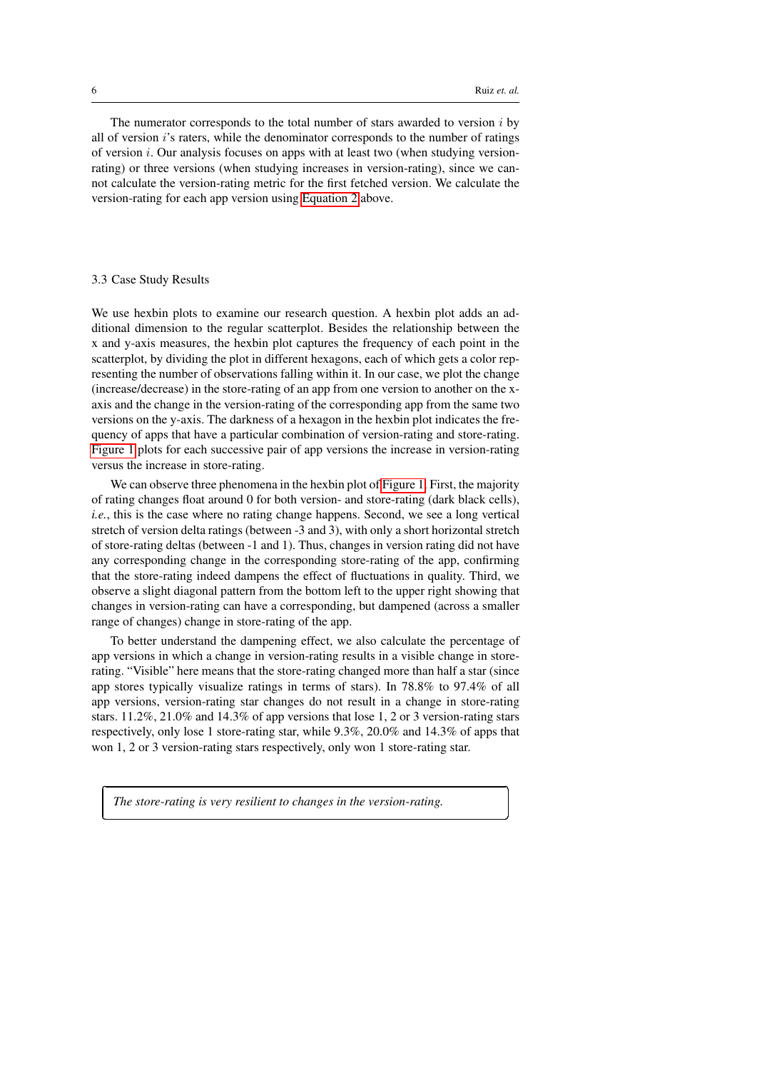Ĭ.

✁

The numerator corresponds to the total number of stars awarded to version  $i$  by all of version i's raters, while the denominator corresponds to the number of ratings of version i. Our analysis focuses on apps with at least two (when studying versionrating) or three versions (when studying increases in version-rating), since we cannot calculate the version-rating metric for the first fetched version. We calculate the version-rating for each app version using [Equation 2](#page-4-3) above.

#### 3.3 Case Study Results

✄

 $\overline{a}$ 

We use hexbin plots to examine our research question. A hexbin plot adds an additional dimension to the regular scatterplot. Besides the relationship between the x and y-axis measures, the hexbin plot captures the frequency of each point in the scatterplot, by dividing the plot in different hexagons, each of which gets a color representing the number of observations falling within it. In our case, we plot the change (increase/decrease) in the store-rating of an app from one version to another on the xaxis and the change in the version-rating of the corresponding app from the same two versions on the y-axis. The darkness of a hexagon in the hexbin plot indicates the frequency of apps that have a particular combination of version-rating and store-rating. [Figure 1](#page-6-0) plots for each successive pair of app versions the increase in version-rating versus the increase in store-rating.

We can observe three phenomena in the hexbin plot of [Figure 1.](#page-6-0) First, the majority of rating changes float around 0 for both version- and store-rating (dark black cells), *i.e.*, this is the case where no rating change happens. Second, we see a long vertical stretch of version delta ratings (between -3 and 3), with only a short horizontal stretch of store-rating deltas (between -1 and 1). Thus, changes in version rating did not have any corresponding change in the corresponding store-rating of the app, confirming that the store-rating indeed dampens the effect of fluctuations in quality. Third, we observe a slight diagonal pattern from the bottom left to the upper right showing that changes in version-rating can have a corresponding, but dampened (across a smaller range of changes) change in store-rating of the app.

To better understand the dampening effect, we also calculate the percentage of app versions in which a change in version-rating results in a visible change in storerating. "Visible" here means that the store-rating changed more than half a star (since app stores typically visualize ratings in terms of stars). In 78.8% to 97.4% of all app versions, version-rating star changes do not result in a change in store-rating stars. 11.2%, 21.0% and 14.3% of app versions that lose 1, 2 or 3 version-rating stars respectively, only lose 1 store-rating star, while 9.3%, 20.0% and 14.3% of apps that won 1, 2 or 3 version-rating stars respectively, only won 1 store-rating star.

*The store-rating is very resilient to changes in the version-rating.*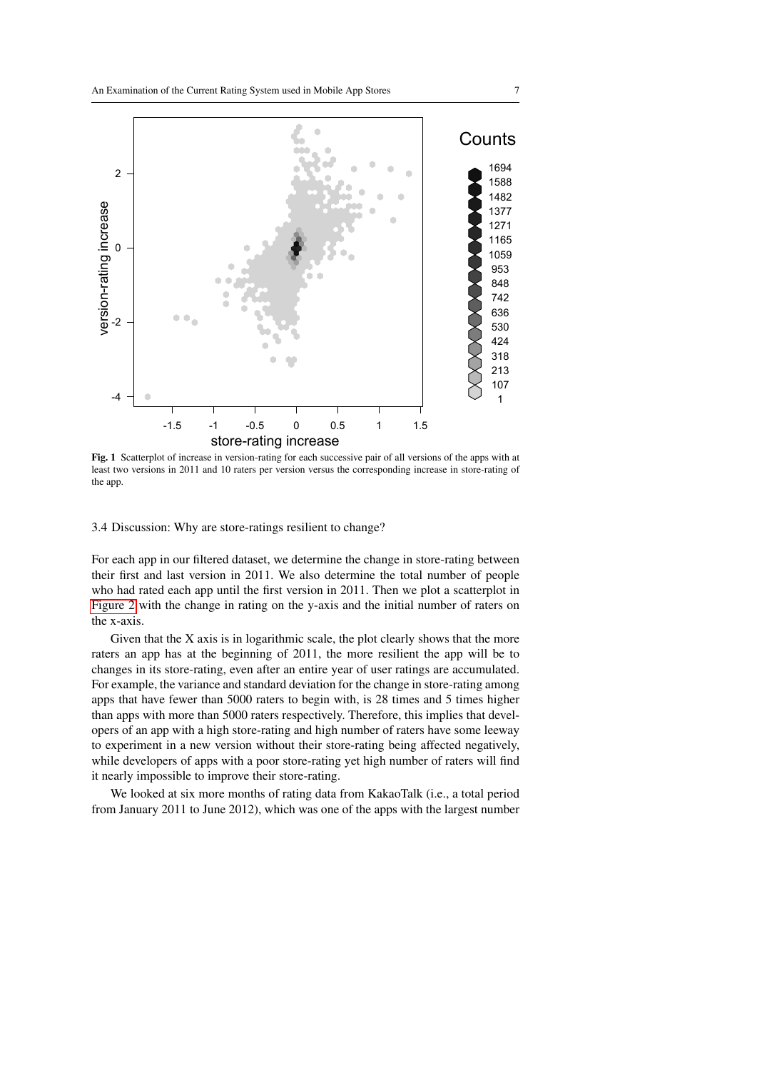

<span id="page-6-0"></span>Fig. 1 Scatterplot of increase in version-rating for each successive pair of all versions of the apps with at least two versions in 2011 and 10 raters per version versus the corresponding increase in store-rating of the app.

3.4 Discussion: Why are store-ratings resilient to change?

For each app in our filtered dataset, we determine the change in store-rating between their first and last version in 2011. We also determine the total number of people who had rated each app until the first version in 2011. Then we plot a scatterplot in [Figure 2](#page-7-0) with the change in rating on the y-axis and the initial number of raters on the x-axis.

Given that the X axis is in logarithmic scale, the plot clearly shows that the more raters an app has at the beginning of 2011, the more resilient the app will be to changes in its store-rating, even after an entire year of user ratings are accumulated. For example, the variance and standard deviation for the change in store-rating among apps that have fewer than 5000 raters to begin with, is 28 times and 5 times higher than apps with more than 5000 raters respectively. Therefore, this implies that developers of an app with a high store-rating and high number of raters have some leeway to experiment in a new version without their store-rating being affected negatively, while developers of apps with a poor store-rating yet high number of raters will find it nearly impossible to improve their store-rating.

We looked at six more months of rating data from KakaoTalk (i.e., a total period from January 2011 to June 2012), which was one of the apps with the largest number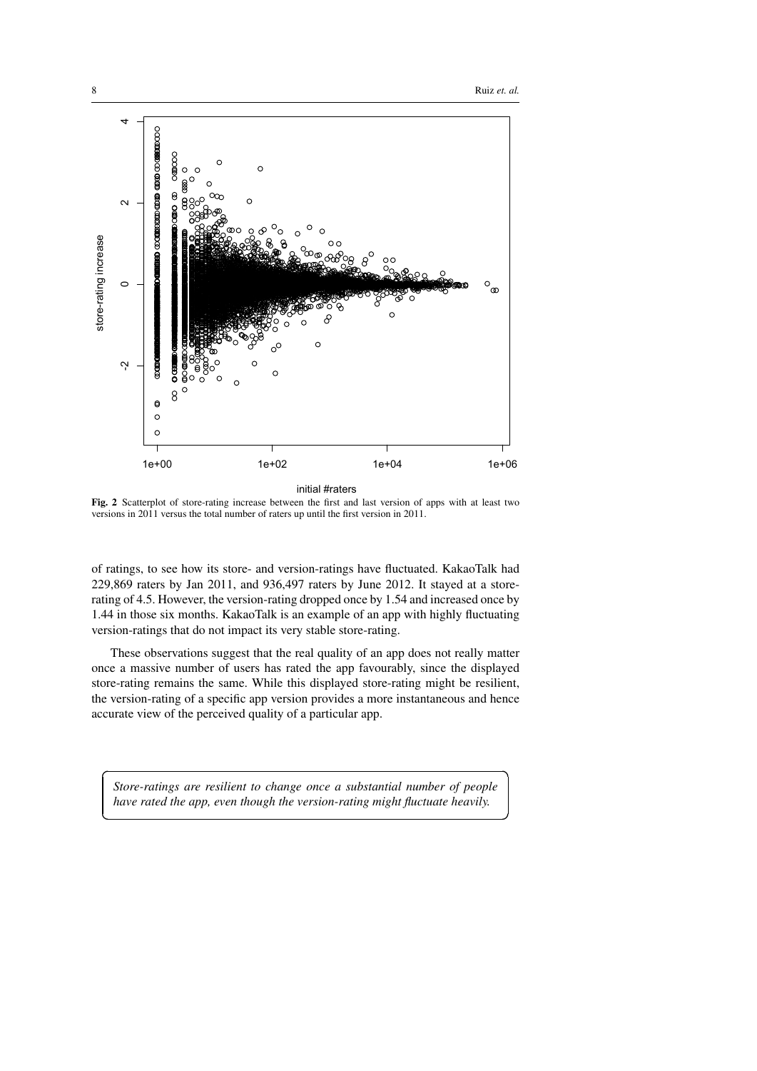☎

✆



<span id="page-7-0"></span>Fig. 2 Scatterplot of store-rating increase between the first and last version of apps with at least two versions in 2011 versus the total number of raters up until the first version in 2011.

of ratings, to see how its store- and version-ratings have fluctuated. KakaoTalk had 229,869 raters by Jan 2011, and 936,497 raters by June 2012. It stayed at a storerating of 4.5. However, the version-rating dropped once by 1.54 and increased once by 1.44 in those six months. KakaoTalk is an example of an app with highly fluctuating version-ratings that do not impact its very stable store-rating.

These observations suggest that the real quality of an app does not really matter once a massive number of users has rated the app favourably, since the displayed store-rating remains the same. While this displayed store-rating might be resilient, the version-rating of a specific app version provides a more instantaneous and hence accurate view of the perceived quality of a particular app.

*Store-ratings are resilient to change once a substantial number of people have rated the app, even though the version-rating might fluctuate heavily.*

 $\overline{a}$ 

✝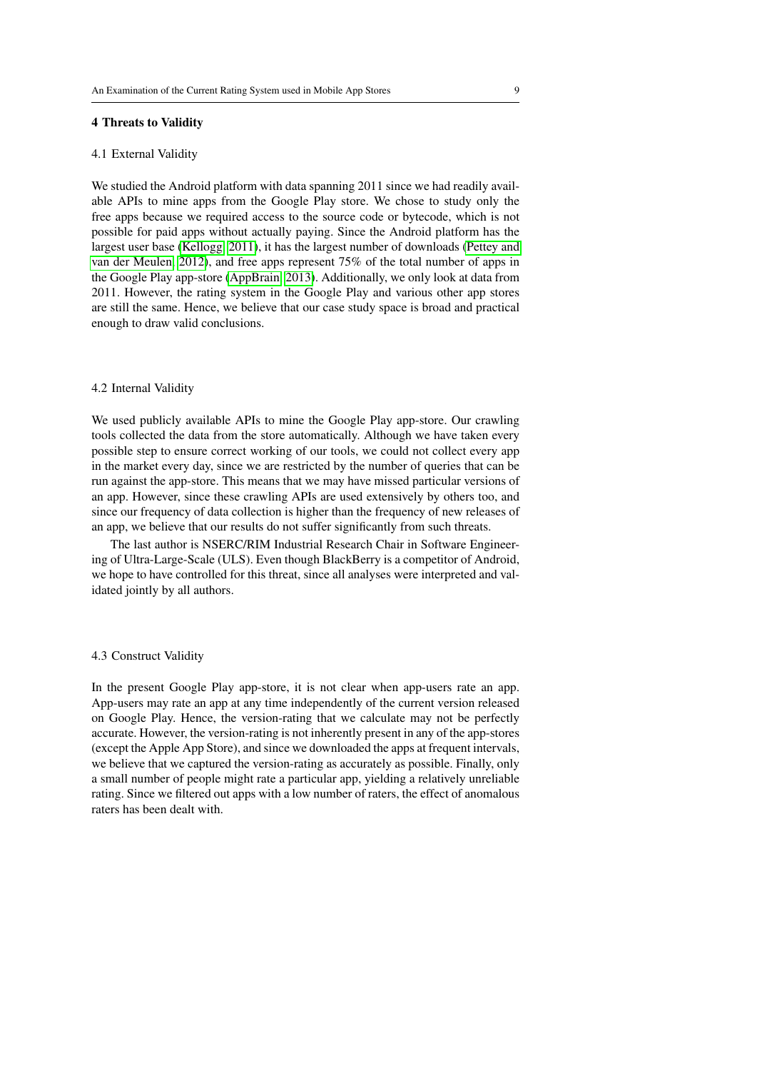#### <span id="page-8-0"></span>4 Threats to Validity

#### 4.1 External Validity

We studied the Android platform with data spanning 2011 since we had readily available APIs to mine apps from the Google Play store. We chose to study only the free apps because we required access to the source code or bytecode, which is not possible for paid apps without actually paying. Since the Android platform has the largest user base [\(Kellogg, 2011\)](#page-11-4), it has the largest number of downloads [\(Pettey and](#page-11-5) [van der Meulen, 2012\)](#page-11-5), and free apps represent 75% of the total number of apps in the Google Play app-store [\(AppBrain, 2013\)](#page-10-3). Additionally, we only look at data from 2011. However, the rating system in the Google Play and various other app stores are still the same. Hence, we believe that our case study space is broad and practical enough to draw valid conclusions.

#### 4.2 Internal Validity

We used publicly available APIs to mine the Google Play app-store. Our crawling tools collected the data from the store automatically. Although we have taken every possible step to ensure correct working of our tools, we could not collect every app in the market every day, since we are restricted by the number of queries that can be run against the app-store. This means that we may have missed particular versions of an app. However, since these crawling APIs are used extensively by others too, and since our frequency of data collection is higher than the frequency of new releases of an app, we believe that our results do not suffer significantly from such threats.

The last author is NSERC/RIM Industrial Research Chair in Software Engineering of Ultra-Large-Scale (ULS). Even though BlackBerry is a competitor of Android, we hope to have controlled for this threat, since all analyses were interpreted and validated jointly by all authors.

#### 4.3 Construct Validity

In the present Google Play app-store, it is not clear when app-users rate an app. App-users may rate an app at any time independently of the current version released on Google Play. Hence, the version-rating that we calculate may not be perfectly accurate. However, the version-rating is not inherently present in any of the app-stores (except the Apple App Store), and since we downloaded the apps at frequent intervals, we believe that we captured the version-rating as accurately as possible. Finally, only a small number of people might rate a particular app, yielding a relatively unreliable rating. Since we filtered out apps with a low number of raters, the effect of anomalous raters has been dealt with.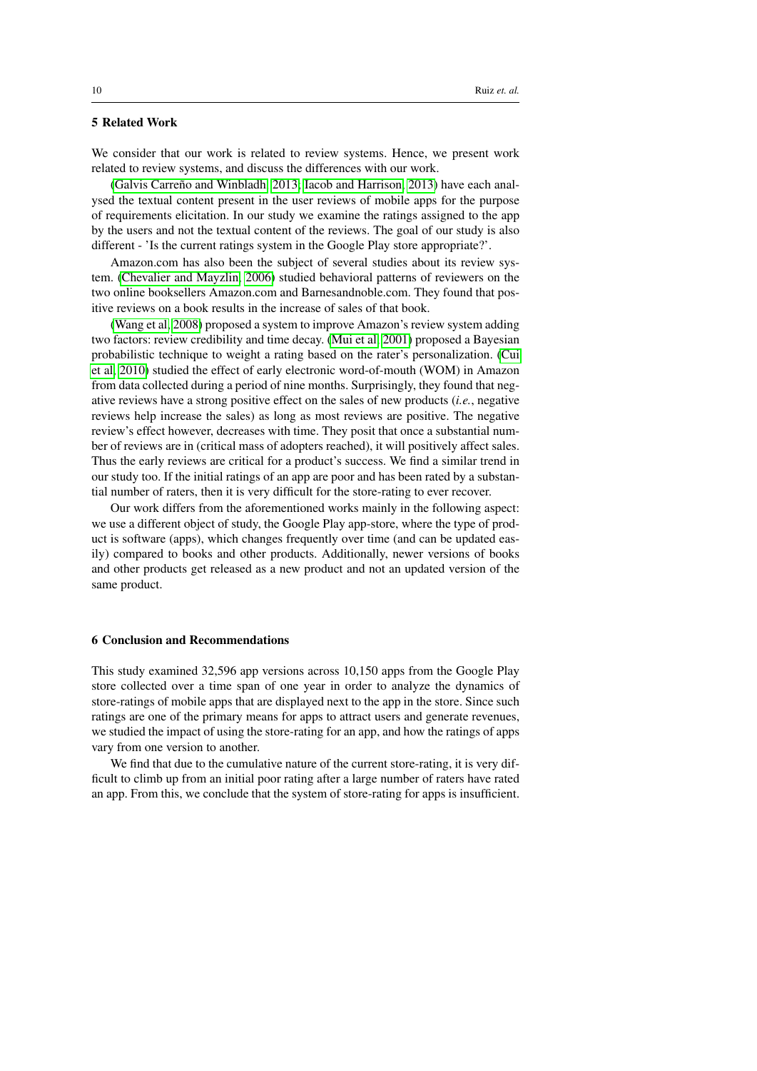# <span id="page-9-0"></span>5 Related Work

We consider that our work is related to review systems. Hence, we present work related to review systems, and discuss the differences with our work.

[\(Galvis Carreño and Winbladh, 2013;](#page-10-4) [Iacob and Harrison, 2013\)](#page-11-6) have each analysed the textual content present in the user reviews of mobile apps for the purpose of requirements elicitation. In our study we examine the ratings assigned to the app by the users and not the textual content of the reviews. The goal of our study is also different - 'Is the current ratings system in the Google Play store appropriate?'.

Amazon.com has also been the subject of several studies about its review system. [\(Chevalier and Mayzlin, 2006\)](#page-10-0) studied behavioral patterns of reviewers on the two online booksellers Amazon.com and Barnesandnoble.com. They found that positive reviews on a book results in the increase of sales of that book.

[\(Wang et al, 2008\)](#page-11-7) proposed a system to improve Amazon's review system adding two factors: review credibility and time decay. [\(Mui et al, 2001\)](#page-11-8) proposed a Bayesian probabilistic technique to weight a rating based on the rater's personalization. [\(Cui](#page-10-5) [et al, 2010\)](#page-10-5) studied the effect of early electronic word-of-mouth (WOM) in Amazon from data collected during a period of nine months. Surprisingly, they found that negative reviews have a strong positive effect on the sales of new products (*i.e.*, negative reviews help increase the sales) as long as most reviews are positive. The negative review's effect however, decreases with time. They posit that once a substantial number of reviews are in (critical mass of adopters reached), it will positively affect sales. Thus the early reviews are critical for a product's success. We find a similar trend in our study too. If the initial ratings of an app are poor and has been rated by a substantial number of raters, then it is very difficult for the store-rating to ever recover.

Our work differs from the aforementioned works mainly in the following aspect: we use a different object of study, the Google Play app-store, where the type of product is software (apps), which changes frequently over time (and can be updated easily) compared to books and other products. Additionally, newer versions of books and other products get released as a new product and not an updated version of the same product.

#### <span id="page-9-1"></span>6 Conclusion and Recommendations

This study examined 32,596 app versions across 10,150 apps from the Google Play store collected over a time span of one year in order to analyze the dynamics of store-ratings of mobile apps that are displayed next to the app in the store. Since such ratings are one of the primary means for apps to attract users and generate revenues, we studied the impact of using the store-rating for an app, and how the ratings of apps vary from one version to another.

We find that due to the cumulative nature of the current store-rating, it is very difficult to climb up from an initial poor rating after a large number of raters have rated an app. From this, we conclude that the system of store-rating for apps is insufficient.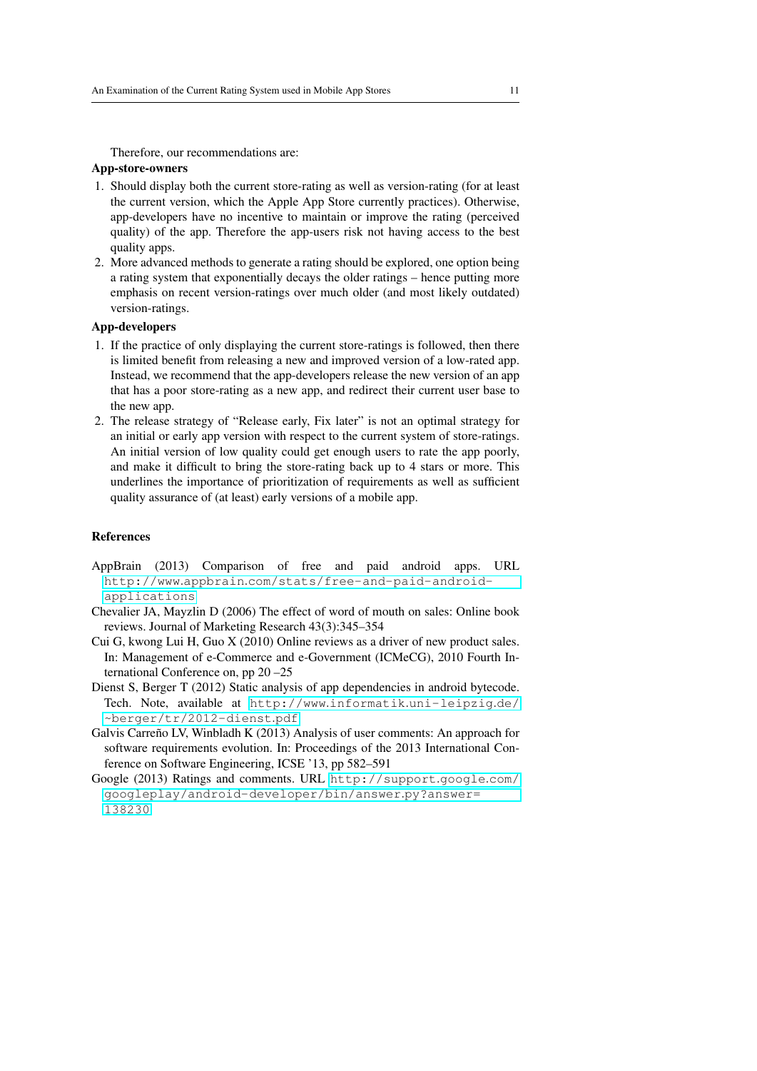Therefore, our recommendations are:

## App-store-owners

- 1. Should display both the current store-rating as well as version-rating (for at least the current version, which the Apple App Store currently practices). Otherwise, app-developers have no incentive to maintain or improve the rating (perceived quality) of the app. Therefore the app-users risk not having access to the best quality apps.
- 2. More advanced methods to generate a rating should be explored, one option being a rating system that exponentially decays the older ratings – hence putting more emphasis on recent version-ratings over much older (and most likely outdated) version-ratings.

# App-developers

- 1. If the practice of only displaying the current store-ratings is followed, then there is limited benefit from releasing a new and improved version of a low-rated app. Instead, we recommend that the app-developers release the new version of an app that has a poor store-rating as a new app, and redirect their current user base to the new app.
- 2. The release strategy of "Release early, Fix later" is not an optimal strategy for an initial or early app version with respect to the current system of store-ratings. An initial version of low quality could get enough users to rate the app poorly, and make it difficult to bring the store-rating back up to 4 stars or more. This underlines the importance of prioritization of requirements as well as sufficient quality assurance of (at least) early versions of a mobile app.

# References

- <span id="page-10-3"></span>AppBrain (2013) Comparison of free and paid android apps. URL http://www.appbrain.[com/stats/free-and-paid-android](http://www.appbrain.com/stats/free-and-paid-android-applications)[applications](http://www.appbrain.com/stats/free-and-paid-android-applications)
- <span id="page-10-0"></span>Chevalier JA, Mayzlin D (2006) The effect of word of mouth on sales: Online book reviews. Journal of Marketing Research 43(3):345–354
- <span id="page-10-5"></span>Cui G, kwong Lui H, Guo X (2010) Online reviews as a driver of new product sales. In: Management of e-Commerce and e-Government (ICMeCG), 2010 Fourth International Conference on, pp 20 –25
- <span id="page-10-1"></span>Dienst S, Berger T (2012) Static analysis of app dependencies in android bytecode. Tech. Note, available at http://www.informatik.[uni-leipzig](http://www.informatik.uni-leipzig.de/~berger/tr/2012-dienst.pdf).de/ [~berger/tr/2012-dienst](http://www.informatik.uni-leipzig.de/~berger/tr/2012-dienst.pdf).pdf
- <span id="page-10-4"></span>Galvis Carreño LV, Winbladh K (2013) Analysis of user comments: An approach for software requirements evolution. In: Proceedings of the 2013 International Conference on Software Engineering, ICSE '13, pp 582–591
- <span id="page-10-2"></span>Google (2013) Ratings and comments. URL [http://support](http://support.google.com/googleplay/android-developer/bin/answer.py?answer=138230).google.com/ [googleplay/android-developer/bin/answer](http://support.google.com/googleplay/android-developer/bin/answer.py?answer=138230).py?answer= [138230](http://support.google.com/googleplay/android-developer/bin/answer.py?answer=138230)